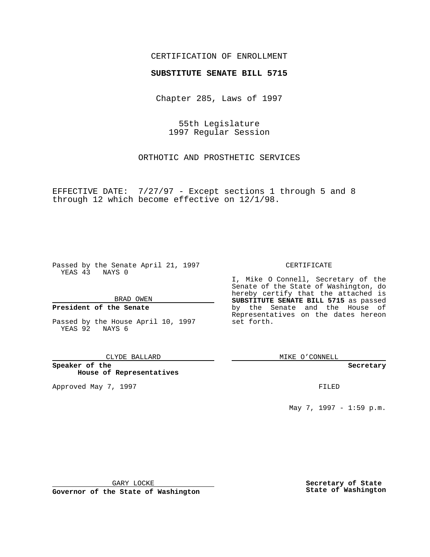### CERTIFICATION OF ENROLLMENT

# **SUBSTITUTE SENATE BILL 5715**

Chapter 285, Laws of 1997

55th Legislature 1997 Regular Session

ORTHOTIC AND PROSTHETIC SERVICES

EFFECTIVE DATE: 7/27/97 - Except sections 1 through 5 and 8 through 12 which become effective on 12/1/98.

Passed by the Senate April 21, 1997 YEAS 43 NAYS 0

BRAD OWEN

#### **President of the Senate**

Passed by the House April 10, 1997 YEAS 92 NAYS 6

CLYDE BALLARD

**Speaker of the House of Representatives**

Approved May 7, 1997 **FILED** 

CERTIFICATE

I, Mike O Connell, Secretary of the Senate of the State of Washington, do hereby certify that the attached is **SUBSTITUTE SENATE BILL 5715** as passed by the Senate and the House of Representatives on the dates hereon set forth.

MIKE O'CONNELL

**Secretary**

May 7, 1997 - 1:59 p.m.

GARY LOCKE

**Governor of the State of Washington**

**Secretary of State State of Washington**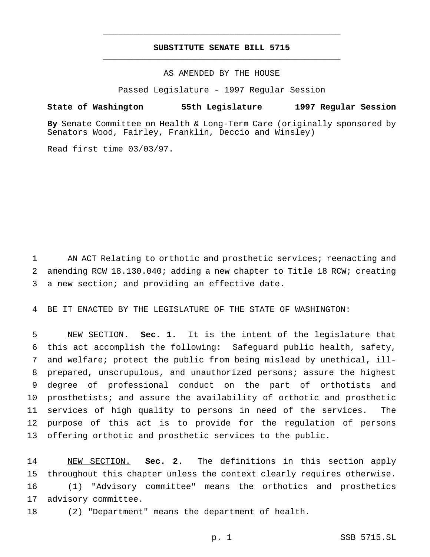## **SUBSTITUTE SENATE BILL 5715** \_\_\_\_\_\_\_\_\_\_\_\_\_\_\_\_\_\_\_\_\_\_\_\_\_\_\_\_\_\_\_\_\_\_\_\_\_\_\_\_\_\_\_\_\_\_\_

\_\_\_\_\_\_\_\_\_\_\_\_\_\_\_\_\_\_\_\_\_\_\_\_\_\_\_\_\_\_\_\_\_\_\_\_\_\_\_\_\_\_\_\_\_\_\_

AS AMENDED BY THE HOUSE

Passed Legislature - 1997 Regular Session

#### **State of Washington 55th Legislature 1997 Regular Session**

**By** Senate Committee on Health & Long-Term Care (originally sponsored by Senators Wood, Fairley, Franklin, Deccio and Winsley)

Read first time 03/03/97.

1 AN ACT Relating to orthotic and prosthetic services; reenacting and amending RCW 18.130.040; adding a new chapter to Title 18 RCW; creating a new section; and providing an effective date.

BE IT ENACTED BY THE LEGISLATURE OF THE STATE OF WASHINGTON:

 NEW SECTION. **Sec. 1.** It is the intent of the legislature that this act accomplish the following: Safeguard public health, safety, and welfare; protect the public from being mislead by unethical, ill- prepared, unscrupulous, and unauthorized persons; assure the highest degree of professional conduct on the part of orthotists and prosthetists; and assure the availability of orthotic and prosthetic services of high quality to persons in need of the services. The purpose of this act is to provide for the regulation of persons offering orthotic and prosthetic services to the public.

 NEW SECTION. **Sec. 2.** The definitions in this section apply throughout this chapter unless the context clearly requires otherwise. (1) "Advisory committee" means the orthotics and prosthetics advisory committee. (2) "Department" means the department of health.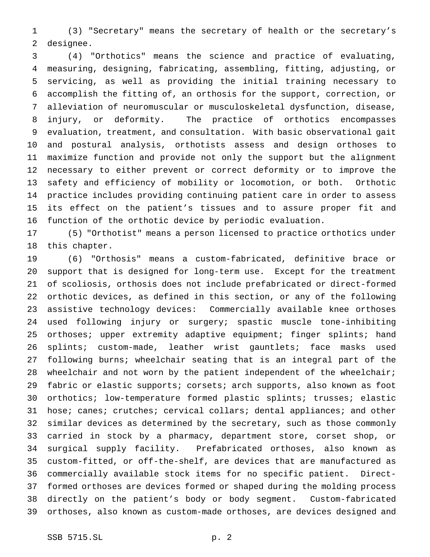(3) "Secretary" means the secretary of health or the secretary's designee.

 (4) "Orthotics" means the science and practice of evaluating, measuring, designing, fabricating, assembling, fitting, adjusting, or servicing, as well as providing the initial training necessary to accomplish the fitting of, an orthosis for the support, correction, or alleviation of neuromuscular or musculoskeletal dysfunction, disease, injury, or deformity. The practice of orthotics encompasses evaluation, treatment, and consultation. With basic observational gait and postural analysis, orthotists assess and design orthoses to maximize function and provide not only the support but the alignment necessary to either prevent or correct deformity or to improve the safety and efficiency of mobility or locomotion, or both. Orthotic practice includes providing continuing patient care in order to assess its effect on the patient's tissues and to assure proper fit and function of the orthotic device by periodic evaluation.

 (5) "Orthotist" means a person licensed to practice orthotics under this chapter.

 (6) "Orthosis" means a custom-fabricated, definitive brace or support that is designed for long-term use. Except for the treatment of scoliosis, orthosis does not include prefabricated or direct-formed orthotic devices, as defined in this section, or any of the following assistive technology devices: Commercially available knee orthoses used following injury or surgery; spastic muscle tone-inhibiting 25 orthoses; upper extremity adaptive equipment; finger splints; hand splints; custom-made, leather wrist gauntlets; face masks used following burns; wheelchair seating that is an integral part of the 28 wheelchair and not worn by the patient independent of the wheelchair; fabric or elastic supports; corsets; arch supports, also known as foot orthotics; low-temperature formed plastic splints; trusses; elastic hose; canes; crutches; cervical collars; dental appliances; and other similar devices as determined by the secretary, such as those commonly carried in stock by a pharmacy, department store, corset shop, or surgical supply facility. Prefabricated orthoses, also known as custom-fitted, or off-the-shelf, are devices that are manufactured as commercially available stock items for no specific patient. Direct- formed orthoses are devices formed or shaped during the molding process directly on the patient's body or body segment. Custom-fabricated orthoses, also known as custom-made orthoses, are devices designed and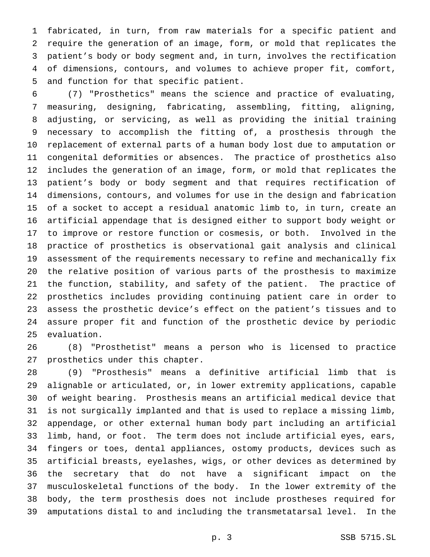fabricated, in turn, from raw materials for a specific patient and require the generation of an image, form, or mold that replicates the patient's body or body segment and, in turn, involves the rectification of dimensions, contours, and volumes to achieve proper fit, comfort, and function for that specific patient.

 (7) "Prosthetics" means the science and practice of evaluating, measuring, designing, fabricating, assembling, fitting, aligning, adjusting, or servicing, as well as providing the initial training necessary to accomplish the fitting of, a prosthesis through the replacement of external parts of a human body lost due to amputation or congenital deformities or absences. The practice of prosthetics also includes the generation of an image, form, or mold that replicates the patient's body or body segment and that requires rectification of dimensions, contours, and volumes for use in the design and fabrication of a socket to accept a residual anatomic limb to, in turn, create an artificial appendage that is designed either to support body weight or to improve or restore function or cosmesis, or both. Involved in the practice of prosthetics is observational gait analysis and clinical assessment of the requirements necessary to refine and mechanically fix the relative position of various parts of the prosthesis to maximize the function, stability, and safety of the patient. The practice of prosthetics includes providing continuing patient care in order to assess the prosthetic device's effect on the patient's tissues and to assure proper fit and function of the prosthetic device by periodic evaluation.

 (8) "Prosthetist" means a person who is licensed to practice prosthetics under this chapter.

 (9) "Prosthesis" means a definitive artificial limb that is alignable or articulated, or, in lower extremity applications, capable of weight bearing. Prosthesis means an artificial medical device that is not surgically implanted and that is used to replace a missing limb, appendage, or other external human body part including an artificial limb, hand, or foot. The term does not include artificial eyes, ears, fingers or toes, dental appliances, ostomy products, devices such as artificial breasts, eyelashes, wigs, or other devices as determined by the secretary that do not have a significant impact on the musculoskeletal functions of the body. In the lower extremity of the body, the term prosthesis does not include prostheses required for amputations distal to and including the transmetatarsal level. In the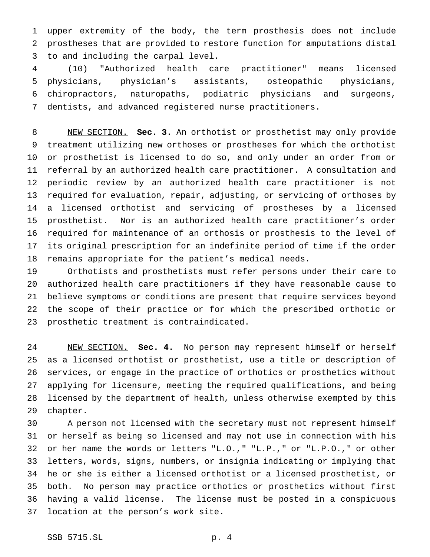upper extremity of the body, the term prosthesis does not include prostheses that are provided to restore function for amputations distal to and including the carpal level.

 (10) "Authorized health care practitioner" means licensed physicians, physician's assistants, osteopathic physicians, chiropractors, naturopaths, podiatric physicians and surgeons, dentists, and advanced registered nurse practitioners.

 NEW SECTION. **Sec. 3.** An orthotist or prosthetist may only provide treatment utilizing new orthoses or prostheses for which the orthotist or prosthetist is licensed to do so, and only under an order from or referral by an authorized health care practitioner. A consultation and periodic review by an authorized health care practitioner is not required for evaluation, repair, adjusting, or servicing of orthoses by a licensed orthotist and servicing of prostheses by a licensed prosthetist. Nor is an authorized health care practitioner's order required for maintenance of an orthosis or prosthesis to the level of its original prescription for an indefinite period of time if the order remains appropriate for the patient's medical needs.

 Orthotists and prosthetists must refer persons under their care to authorized health care practitioners if they have reasonable cause to believe symptoms or conditions are present that require services beyond the scope of their practice or for which the prescribed orthotic or prosthetic treatment is contraindicated.

 NEW SECTION. **Sec. 4.** No person may represent himself or herself as a licensed orthotist or prosthetist, use a title or description of services, or engage in the practice of orthotics or prosthetics without applying for licensure, meeting the required qualifications, and being licensed by the department of health, unless otherwise exempted by this chapter.

 A person not licensed with the secretary must not represent himself or herself as being so licensed and may not use in connection with his or her name the words or letters "L.O.," "L.P.," or "L.P.O.," or other letters, words, signs, numbers, or insignia indicating or implying that he or she is either a licensed orthotist or a licensed prosthetist, or both. No person may practice orthotics or prosthetics without first having a valid license. The license must be posted in a conspicuous location at the person's work site.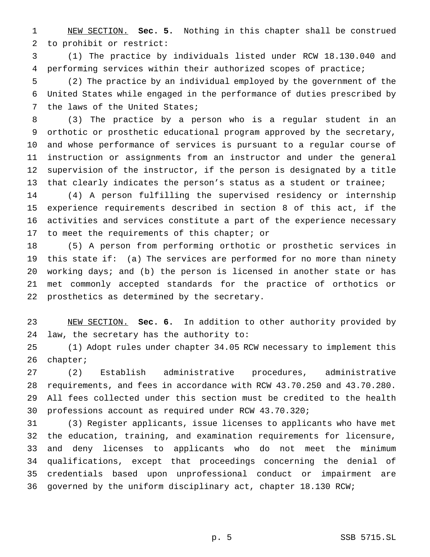NEW SECTION. **Sec. 5.** Nothing in this chapter shall be construed to prohibit or restrict:

 (1) The practice by individuals listed under RCW 18.130.040 and performing services within their authorized scopes of practice;

 (2) The practice by an individual employed by the government of the United States while engaged in the performance of duties prescribed by the laws of the United States;

 (3) The practice by a person who is a regular student in an orthotic or prosthetic educational program approved by the secretary, and whose performance of services is pursuant to a regular course of instruction or assignments from an instructor and under the general supervision of the instructor, if the person is designated by a title that clearly indicates the person's status as a student or trainee;

 (4) A person fulfilling the supervised residency or internship experience requirements described in section 8 of this act, if the activities and services constitute a part of the experience necessary 17 to meet the requirements of this chapter; or

 (5) A person from performing orthotic or prosthetic services in this state if: (a) The services are performed for no more than ninety working days; and (b) the person is licensed in another state or has met commonly accepted standards for the practice of orthotics or prosthetics as determined by the secretary.

 NEW SECTION. **Sec. 6.** In addition to other authority provided by law, the secretary has the authority to:

 (1) Adopt rules under chapter 34.05 RCW necessary to implement this chapter;

 (2) Establish administrative procedures, administrative requirements, and fees in accordance with RCW 43.70.250 and 43.70.280. All fees collected under this section must be credited to the health professions account as required under RCW 43.70.320;

 (3) Register applicants, issue licenses to applicants who have met the education, training, and examination requirements for licensure, and deny licenses to applicants who do not meet the minimum qualifications, except that proceedings concerning the denial of credentials based upon unprofessional conduct or impairment are governed by the uniform disciplinary act, chapter 18.130 RCW;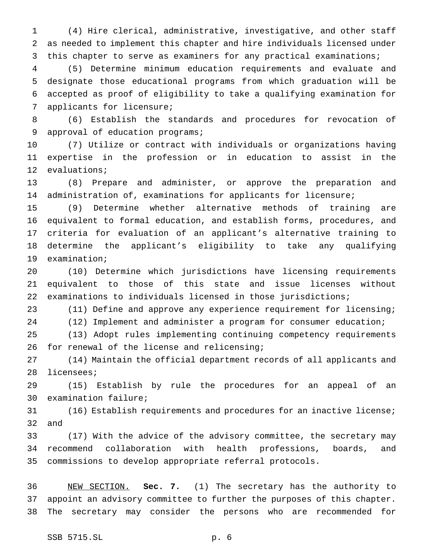(4) Hire clerical, administrative, investigative, and other staff as needed to implement this chapter and hire individuals licensed under 3 this chapter to serve as examiners for any practical examinations;

 (5) Determine minimum education requirements and evaluate and designate those educational programs from which graduation will be accepted as proof of eligibility to take a qualifying examination for applicants for licensure;

 (6) Establish the standards and procedures for revocation of approval of education programs;

 (7) Utilize or contract with individuals or organizations having expertise in the profession or in education to assist in the evaluations;

 (8) Prepare and administer, or approve the preparation and administration of, examinations for applicants for licensure;

 (9) Determine whether alternative methods of training are equivalent to formal education, and establish forms, procedures, and criteria for evaluation of an applicant's alternative training to determine the applicant's eligibility to take any qualifying examination;

 (10) Determine which jurisdictions have licensing requirements equivalent to those of this state and issue licenses without examinations to individuals licensed in those jurisdictions;

 (11) Define and approve any experience requirement for licensing; (12) Implement and administer a program for consumer education;

 (13) Adopt rules implementing continuing competency requirements for renewal of the license and relicensing;

 (14) Maintain the official department records of all applicants and licensees;

 (15) Establish by rule the procedures for an appeal of an examination failure;

 (16) Establish requirements and procedures for an inactive license; and

 (17) With the advice of the advisory committee, the secretary may recommend collaboration with health professions, boards, and commissions to develop appropriate referral protocols.

 NEW SECTION. **Sec. 7.** (1) The secretary has the authority to appoint an advisory committee to further the purposes of this chapter. The secretary may consider the persons who are recommended for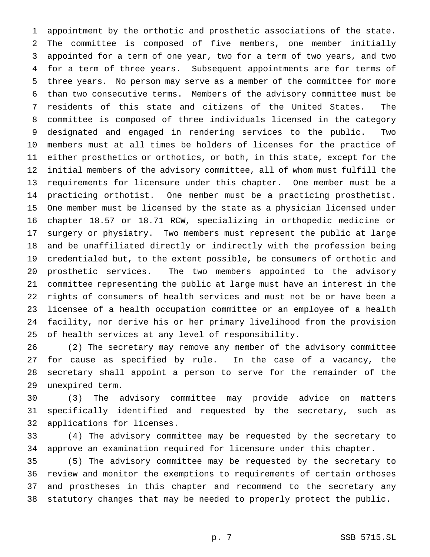appointment by the orthotic and prosthetic associations of the state. The committee is composed of five members, one member initially appointed for a term of one year, two for a term of two years, and two for a term of three years. Subsequent appointments are for terms of three years. No person may serve as a member of the committee for more than two consecutive terms. Members of the advisory committee must be residents of this state and citizens of the United States. The committee is composed of three individuals licensed in the category designated and engaged in rendering services to the public. Two members must at all times be holders of licenses for the practice of either prosthetics or orthotics, or both, in this state, except for the initial members of the advisory committee, all of whom must fulfill the requirements for licensure under this chapter. One member must be a practicing orthotist. One member must be a practicing prosthetist. One member must be licensed by the state as a physician licensed under chapter 18.57 or 18.71 RCW, specializing in orthopedic medicine or surgery or physiatry. Two members must represent the public at large and be unaffiliated directly or indirectly with the profession being credentialed but, to the extent possible, be consumers of orthotic and prosthetic services. The two members appointed to the advisory committee representing the public at large must have an interest in the rights of consumers of health services and must not be or have been a licensee of a health occupation committee or an employee of a health facility, nor derive his or her primary livelihood from the provision of health services at any level of responsibility.

 (2) The secretary may remove any member of the advisory committee for cause as specified by rule. In the case of a vacancy, the secretary shall appoint a person to serve for the remainder of the unexpired term.

 (3) The advisory committee may provide advice on matters specifically identified and requested by the secretary, such as applications for licenses.

 (4) The advisory committee may be requested by the secretary to approve an examination required for licensure under this chapter.

 (5) The advisory committee may be requested by the secretary to review and monitor the exemptions to requirements of certain orthoses and prostheses in this chapter and recommend to the secretary any statutory changes that may be needed to properly protect the public.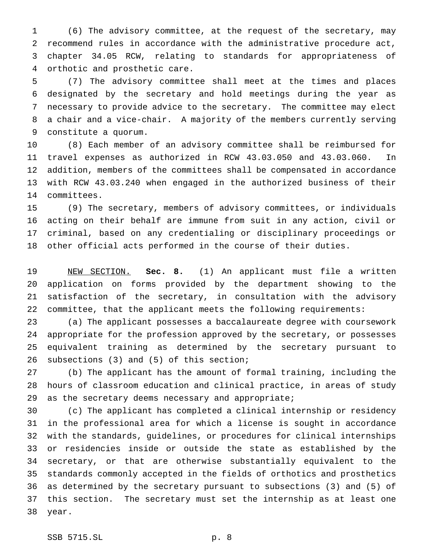(6) The advisory committee, at the request of the secretary, may recommend rules in accordance with the administrative procedure act, chapter 34.05 RCW, relating to standards for appropriateness of orthotic and prosthetic care.

 (7) The advisory committee shall meet at the times and places designated by the secretary and hold meetings during the year as necessary to provide advice to the secretary. The committee may elect a chair and a vice-chair. A majority of the members currently serving constitute a quorum.

 (8) Each member of an advisory committee shall be reimbursed for travel expenses as authorized in RCW 43.03.050 and 43.03.060. In addition, members of the committees shall be compensated in accordance with RCW 43.03.240 when engaged in the authorized business of their committees.

 (9) The secretary, members of advisory committees, or individuals acting on their behalf are immune from suit in any action, civil or criminal, based on any credentialing or disciplinary proceedings or other official acts performed in the course of their duties.

 NEW SECTION. **Sec. 8.** (1) An applicant must file a written application on forms provided by the department showing to the satisfaction of the secretary, in consultation with the advisory committee, that the applicant meets the following requirements:

 (a) The applicant possesses a baccalaureate degree with coursework appropriate for the profession approved by the secretary, or possesses equivalent training as determined by the secretary pursuant to subsections (3) and (5) of this section;

 (b) The applicant has the amount of formal training, including the hours of classroom education and clinical practice, in areas of study as the secretary deems necessary and appropriate;

 (c) The applicant has completed a clinical internship or residency in the professional area for which a license is sought in accordance with the standards, guidelines, or procedures for clinical internships or residencies inside or outside the state as established by the secretary, or that are otherwise substantially equivalent to the standards commonly accepted in the fields of orthotics and prosthetics as determined by the secretary pursuant to subsections (3) and (5) of this section. The secretary must set the internship as at least one year.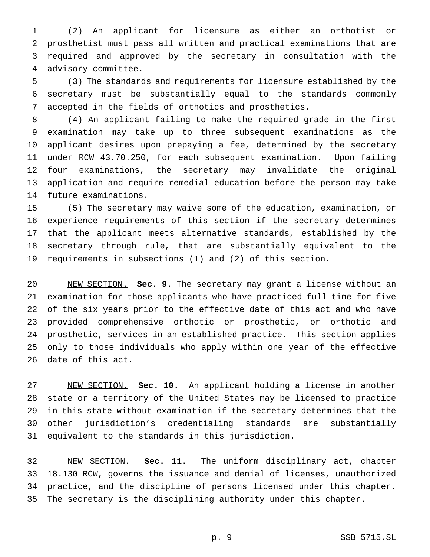(2) An applicant for licensure as either an orthotist or prosthetist must pass all written and practical examinations that are required and approved by the secretary in consultation with the advisory committee.

 (3) The standards and requirements for licensure established by the secretary must be substantially equal to the standards commonly accepted in the fields of orthotics and prosthetics.

 (4) An applicant failing to make the required grade in the first examination may take up to three subsequent examinations as the applicant desires upon prepaying a fee, determined by the secretary under RCW 43.70.250, for each subsequent examination. Upon failing four examinations, the secretary may invalidate the original application and require remedial education before the person may take future examinations.

 (5) The secretary may waive some of the education, examination, or experience requirements of this section if the secretary determines that the applicant meets alternative standards, established by the secretary through rule, that are substantially equivalent to the requirements in subsections (1) and (2) of this section.

 NEW SECTION. **Sec. 9.** The secretary may grant a license without an examination for those applicants who have practiced full time for five of the six years prior to the effective date of this act and who have provided comprehensive orthotic or prosthetic, or orthotic and prosthetic, services in an established practice. This section applies only to those individuals who apply within one year of the effective date of this act.

 NEW SECTION. **Sec. 10.** An applicant holding a license in another state or a territory of the United States may be licensed to practice in this state without examination if the secretary determines that the other jurisdiction's credentialing standards are substantially equivalent to the standards in this jurisdiction.

 NEW SECTION. **Sec. 11.** The uniform disciplinary act, chapter 18.130 RCW, governs the issuance and denial of licenses, unauthorized practice, and the discipline of persons licensed under this chapter. The secretary is the disciplining authority under this chapter.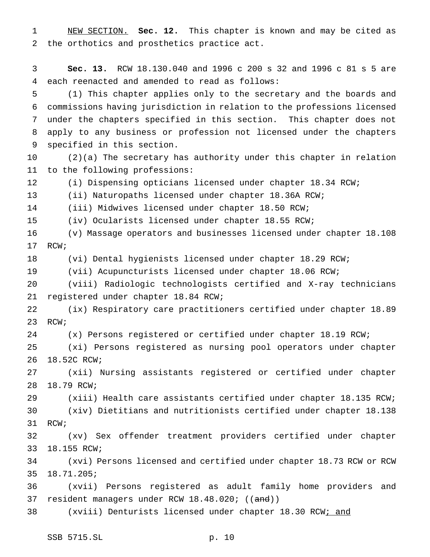NEW SECTION. **Sec. 12.** This chapter is known and may be cited as the orthotics and prosthetics practice act.

 **Sec. 13.** RCW 18.130.040 and 1996 c 200 s 32 and 1996 c 81 s 5 are each reenacted and amended to read as follows:

 (1) This chapter applies only to the secretary and the boards and commissions having jurisdiction in relation to the professions licensed under the chapters specified in this section. This chapter does not apply to any business or profession not licensed under the chapters specified in this section.

 (2)(a) The secretary has authority under this chapter in relation to the following professions:

(i) Dispensing opticians licensed under chapter 18.34 RCW;

(ii) Naturopaths licensed under chapter 18.36A RCW;

(iii) Midwives licensed under chapter 18.50 RCW;

(iv) Ocularists licensed under chapter 18.55 RCW;

 (v) Massage operators and businesses licensed under chapter 18.108 RCW;

(vi) Dental hygienists licensed under chapter 18.29 RCW;

(vii) Acupuncturists licensed under chapter 18.06 RCW;

 (viii) Radiologic technologists certified and X-ray technicians registered under chapter 18.84 RCW;

 (ix) Respiratory care practitioners certified under chapter 18.89 RCW;

(x) Persons registered or certified under chapter 18.19 RCW;

 (xi) Persons registered as nursing pool operators under chapter 18.52C RCW;

 (xii) Nursing assistants registered or certified under chapter 18.79 RCW;

 (xiii) Health care assistants certified under chapter 18.135 RCW; (xiv) Dietitians and nutritionists certified under chapter 18.138

RCW;

 (xv) Sex offender treatment providers certified under chapter 18.155 RCW;

 (xvi) Persons licensed and certified under chapter 18.73 RCW or RCW 18.71.205;

 (xvii) Persons registered as adult family home providers and 37 resident managers under RCW 18.48.020; ((and))

38 (xviii) Denturists licensed under chapter 18.30 RCW; and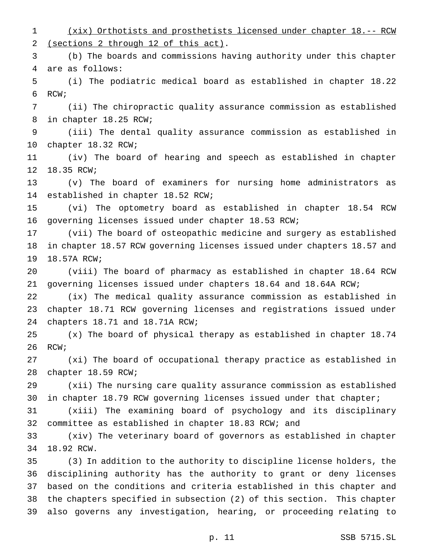(xix) Orthotists and prosthetists licensed under chapter 18.-- RCW (sections 2 through 12 of this act). (b) The boards and commissions having authority under this chapter are as follows: (i) The podiatric medical board as established in chapter 18.22 RCW; (ii) The chiropractic quality assurance commission as established in chapter 18.25 RCW; (iii) The dental quality assurance commission as established in chapter 18.32 RCW; (iv) The board of hearing and speech as established in chapter 18.35 RCW; (v) The board of examiners for nursing home administrators as established in chapter 18.52 RCW; (vi) The optometry board as established in chapter 18.54 RCW governing licenses issued under chapter 18.53 RCW; (vii) The board of osteopathic medicine and surgery as established in chapter 18.57 RCW governing licenses issued under chapters 18.57 and 18.57A RCW; (viii) The board of pharmacy as established in chapter 18.64 RCW governing licenses issued under chapters 18.64 and 18.64A RCW; (ix) The medical quality assurance commission as established in chapter 18.71 RCW governing licenses and registrations issued under chapters 18.71 and 18.71A RCW; (x) The board of physical therapy as established in chapter 18.74 RCW; (xi) The board of occupational therapy practice as established in chapter 18.59 RCW; (xii) The nursing care quality assurance commission as established in chapter 18.79 RCW governing licenses issued under that chapter; (xiii) The examining board of psychology and its disciplinary committee as established in chapter 18.83 RCW; and (xiv) The veterinary board of governors as established in chapter 18.92 RCW. (3) In addition to the authority to discipline license holders, the disciplining authority has the authority to grant or deny licenses based on the conditions and criteria established in this chapter and the chapters specified in subsection (2) of this section. This chapter also governs any investigation, hearing, or proceeding relating to